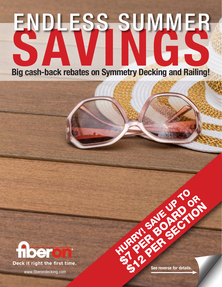# ENDLESS SUMMER Big cash-back rebates on Symmetry Decking and Railing!



**STARFED BALLACIA** RANGER SECTION

HURRY SAVE UP TO

www.fiberondecking.com